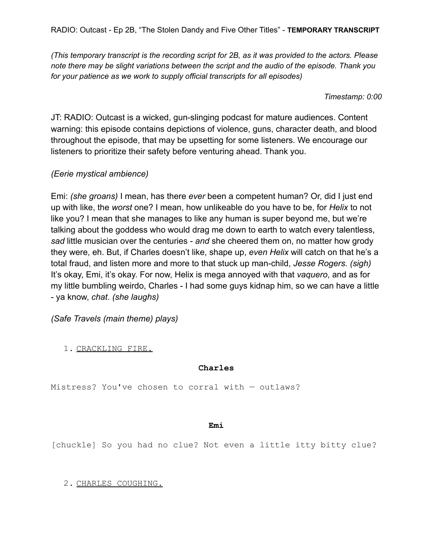*(This temporary transcript is the recording script for 2B, as it was provided to the actors. Please note there may be slight variations between the script and the audio of the episode. Thank you for your patience as we work to supply official transcripts for all episodes)*

*Timestamp: 0:00*

JT: RADIO: Outcast is a wicked, gun-slinging podcast for mature audiences. Content warning: this episode contains depictions of violence, guns, character death, and blood throughout the episode, that may be upsetting for some listeners. We encourage our listeners to prioritize their safety before venturing ahead. Thank you.

# *(Eerie mystical ambience)*

Emi: *(she groans)* I mean, has there *ever* been a competent human? Or, did I just end up with like, the *worst* one? I mean, how unlikeable do you have to be, for *Helix* to not like you? I mean that she manages to like any human is super beyond me, but we're talking about the goddess who would drag me down to earth to watch every talentless, *sad* little musician over the centuries - *and* she cheered them on, no matter how grody they were, eh. But, if Charles doesn't like, shape up, *even Helix* will catch on that he's a total fraud, and listen more and more to that stuck up man-child, *Jesse Rogers*. *(sigh)* It's okay, Emi, it's okay. For now, Helix is mega annoyed with that *vaquero*, and as for my little bumbling weirdo, Charles - I had some guys kidnap him, so we can have a little - ya know, *chat*. *(she laughs)*

*(Safe Travels (main theme) plays)*

1. CRACKLING FIRE.

## **Charles**

Mistress? You've chosen to corral with — outlaws?

## **Emi**

[chuckle] So you had no clue? Not even a little itty bitty clue?

2. CHARLES COUGHING.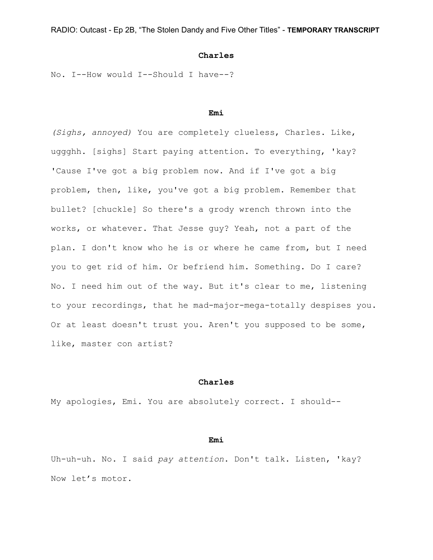## **Charles**

No. I--How would I--Should I have--?

#### **Emi**

*(Sighs, annoyed)* You are completely clueless, Charles. Like, uggghh. [sighs] Start paying attention. To everything, 'kay? 'Cause I've got a big problem now. And if I've got a big problem, then, like, you've got a big problem. Remember that bullet? [chuckle] So there's a grody wrench thrown into the works, or whatever. That Jesse guy? Yeah, not a part of the plan. I don't know who he is or where he came from, but I need you to get rid of him. Or befriend him. Something. Do I care? No. I need him out of the way. But it's clear to me, listening to your recordings, that he mad-major-mega-totally despises you. Or at least doesn't trust you. Aren't you supposed to be some, like, master con artist?

#### **Charles**

My apologies, Emi. You are absolutely correct. I should--

## **Emi**

Uh-uh-uh. No. I said *pay attention*. Don't talk. Listen, 'kay? Now let's motor.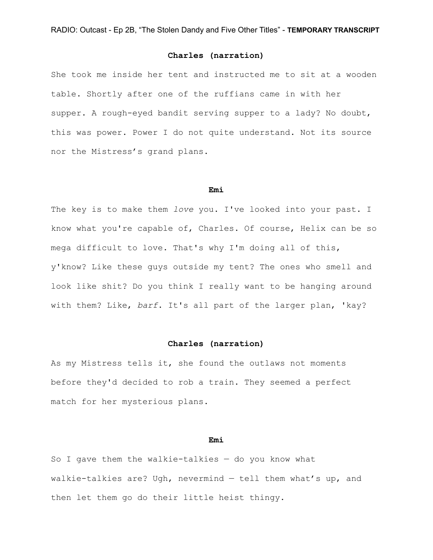She took me inside her tent and instructed me to sit at a wooden table. Shortly after one of the ruffians came in with her supper. A rough-eyed bandit serving supper to a lady? No doubt, this was power. Power I do not quite understand. Not its source nor the Mistress's grand plans.

#### **Emi**

The key is to make them *love* you. I've looked into your past. I know what you're capable of, Charles. Of course, Helix can be so mega difficult to love. That's why I'm doing all of this, y'know? Like these guys outside my tent? The ones who smell and look like shit? Do you think I really want to be hanging around with them? Like, *barf*. It's all part of the larger plan, 'kay?

## **Charles (narration)**

As my Mistress tells it, she found the outlaws not moments before they'd decided to rob a train. They seemed a perfect match for her mysterious plans.

## **Emi**

So I gave them the walkie-talkies  $-$  do you know what walkie-talkies are? Ugh, nevermind — tell them what's up, and then let them go do their little heist thingy.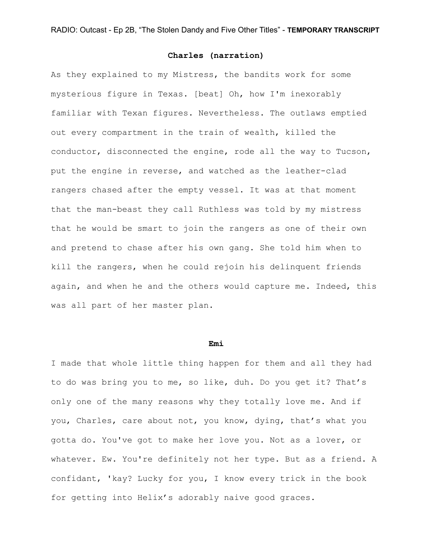As they explained to my Mistress, the bandits work for some mysterious figure in Texas. [beat] Oh, how I'm inexorably familiar with Texan figures. Nevertheless. The outlaws emptied out every compartment in the train of wealth, killed the conductor, disconnected the engine, rode all the way to Tucson, put the engine in reverse, and watched as the leather-clad rangers chased after the empty vessel. It was at that moment that the man-beast they call Ruthless was told by my mistress that he would be smart to join the rangers as one of their own and pretend to chase after his own gang. She told him when to kill the rangers, when he could rejoin his delinquent friends again, and when he and the others would capture me. Indeed, this was all part of her master plan.

#### **Emi**

I made that whole little thing happen for them and all they had to do was bring you to me, so like, duh. Do you get it? That's only one of the many reasons why they totally love me. And if you, Charles, care about not, you know, dying, that's what you gotta do. You've got to make her love you. Not as a lover, or whatever. Ew. You're definitely not her type. But as a friend. A confidant, 'kay? Lucky for you, I know every trick in the book for getting into Helix's adorably naive good graces.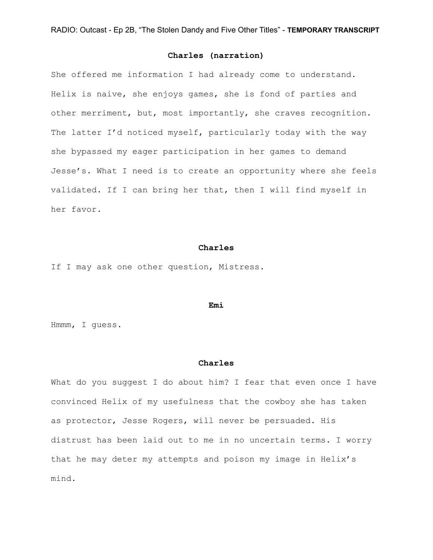She offered me information I had already come to understand. Helix is naive, she enjoys games, she is fond of parties and other merriment, but, most importantly, she craves recognition. The latter I'd noticed myself, particularly today with the way she bypassed my eager participation in her games to demand Jesse's. What I need is to create an opportunity where she feels validated. If I can bring her that, then I will find myself in her favor.

#### **Charles**

If I may ask one other question, Mistress.

#### **Emi**

Hmmm, I guess.

#### **Charles**

What do you suggest I do about him? I fear that even once I have convinced Helix of my usefulness that the cowboy she has taken as protector, Jesse Rogers, will never be persuaded. His distrust has been laid out to me in no uncertain terms. I worry that he may deter my attempts and poison my image in Helix's mind.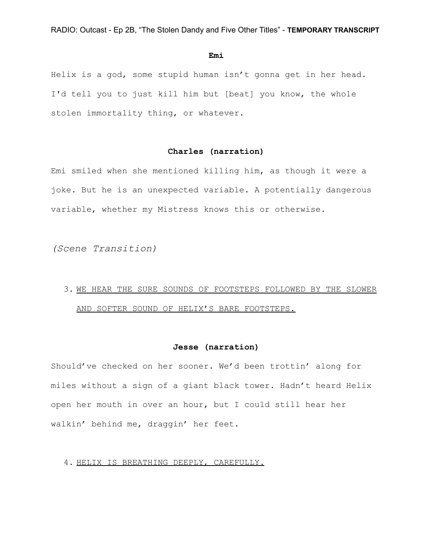#### **Emi**

Helix is a god, some stupid human isn't gonna get in her head. I'd tell you to just kill him but [beat] you know, the whole stolen immortality thing, or whatever.

## **Charles (narration)**

Emi smiled when she mentioned killing him, as though it were a joke. But he is an unexpected variable. A potentially dangerous variable, whether my Mistress knows this or otherwise.

*(Scene Transition)*

# 3. WE HEAR THE SURE SOUNDS OF FOOTSTEPS FOLLOWED BY THE SLOWER AND SOFTER SOUND OF HELIX'S BARE FOOTSTEPS.

## **Jesse (narration)**

Should've checked on her sooner. We'd been trottin' along for miles without a sign of a giant black tower. Hadn't heard Helix open her mouth in over an hour, but I could still hear her walkin' behind me, draggin' her feet.

4. HELIX IS BREATHING DEEPLY, CAREFULLY.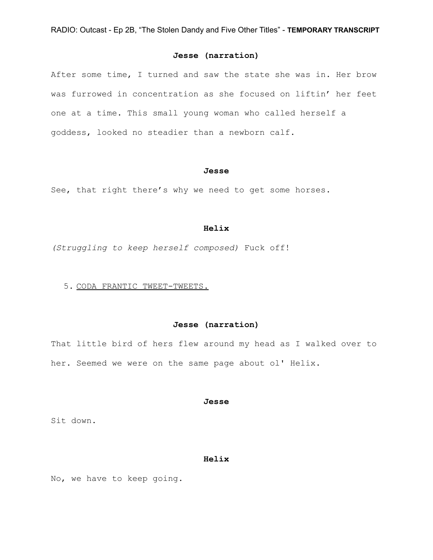## **Jesse (narration)**

After some time, I turned and saw the state she was in. Her brow was furrowed in concentration as she focused on liftin' her feet one at a time. This small young woman who called herself a goddess, looked no steadier than a newborn calf.

#### **Jesse**

See, that right there's why we need to get some horses.

#### **Helix**

*(Struggling to keep herself composed)* Fuck off!

#### 5. CODA FRANTIC TWEET-TWEETS.

## **Jesse (narration)**

That little bird of hers flew around my head as I walked over to her. Seemed we were on the same page about ol' Helix.

#### **Jesse**

Sit down.

## **Helix**

No, we have to keep going.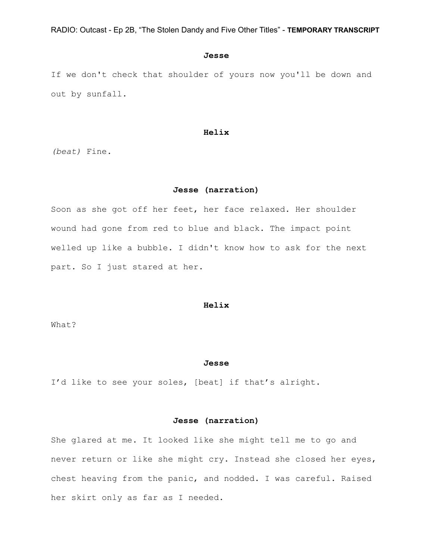#### **Jesse**

If we don't check that shoulder of yours now you'll be down and out by sunfall.

### **Helix**

*(beat)* Fine.

## **Jesse (narration)**

Soon as she got off her feet, her face relaxed. Her shoulder wound had gone from red to blue and black. The impact point welled up like a bubble. I didn't know how to ask for the next part. So I just stared at her.

### **Helix**

What?

#### **Jesse**

I'd like to see your soles, [beat] if that's alright.

## **Jesse (narration)**

She glared at me. It looked like she might tell me to go and never return or like she might cry. Instead she closed her eyes, chest heaving from the panic, and nodded. I was careful. Raised her skirt only as far as I needed.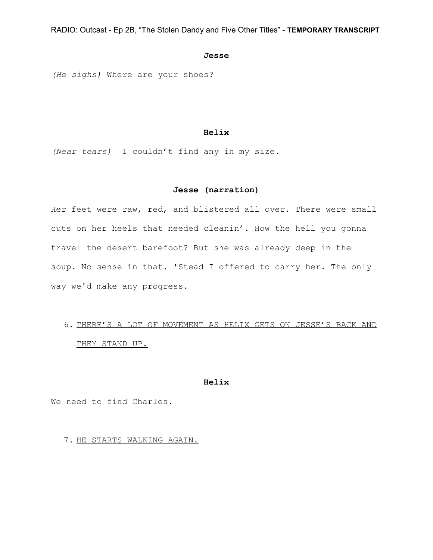## **Jesse**

*(He sighs)* Where are your shoes?

## **Helix**

*(Near tears)* I couldn't find any in my size.

## **Jesse (narration)**

Her feet were raw, red, and blistered all over. There were small cuts on her heels that needed cleanin'. How the hell you gonna travel the desert barefoot? But she was already deep in the soup. No sense in that. 'Stead I offered to carry her. The only way we'd make any progress.

# 6. THERE'S A LOT OF MOVEMENT AS HELIX GETS ON JESSE'S BACK AND THEY STAND UP.

#### **Helix**

We need to find Charles.

7. HE STARTS WALKING AGAIN.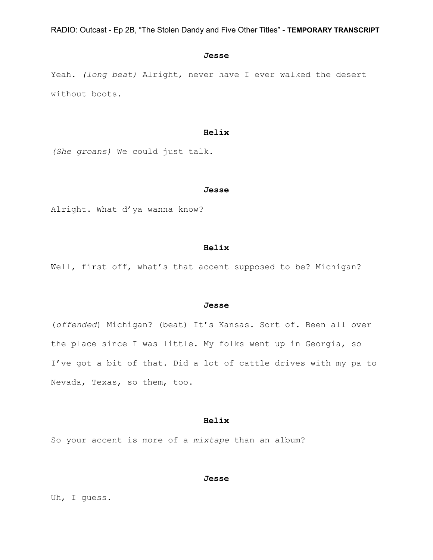#### **Jesse**

Yeah. *(long beat)* Alright, never have I ever walked the desert without boots.

## **Helix**

*(She groans)* We could just talk.

#### **Jesse**

Alright. What d'ya wanna know?

#### **Helix**

Well, first off, what's that accent supposed to be? Michigan?

#### **Jesse**

(*offended*) Michigan? (beat) It's Kansas. Sort of. Been all over the place since I was little. My folks went up in Georgia, so I've got a bit of that. Did a lot of cattle drives with my pa to Nevada, Texas, so them, too.

## **Helix**

So your accent is more of a *mixtape* than an album?

#### **Jesse**

Uh, I guess.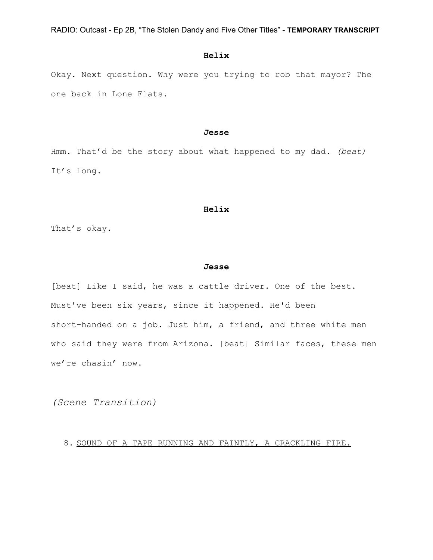## **Helix**

Okay. Next question. Why were you trying to rob that mayor? The one back in Lone Flats.

#### **Jesse**

Hmm. That'd be the story about what happened to my dad. *(beat)* It's long.

#### **Helix**

That's okay.

### **Jesse**

[beat] Like I said, he was a cattle driver. One of the best. Must've been six years, since it happened. He'd been short-handed on a job. Just him, a friend, and three white men who said they were from Arizona. [beat] Similar faces, these men we're chasin' now.

*(Scene Transition)*

8. SOUND OF A TAPE RUNNING AND FAINTLY, A CRACKLING FIRE.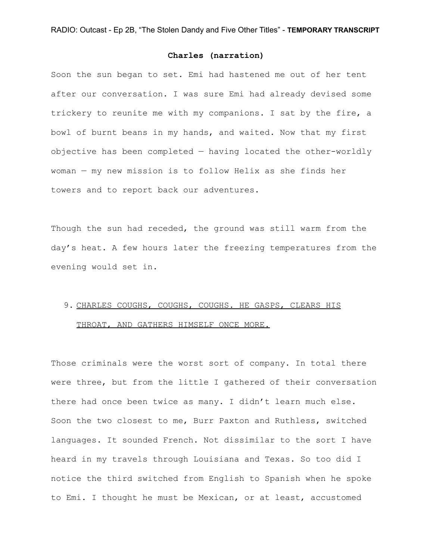Soon the sun began to set. Emi had hastened me out of her tent after our conversation. I was sure Emi had already devised some trickery to reunite me with my companions. I sat by the fire, a bowl of burnt beans in my hands, and waited. Now that my first objective has been completed — having located the other-worldly woman — my new mission is to follow Helix as she finds her towers and to report back our adventures.

Though the sun had receded, the ground was still warm from the day's heat. A few hours later the freezing temperatures from the evening would set in.

# 9. CHARLES COUGHS, COUGHS, COUGHS. HE GASPS, CLEARS HIS THROAT, AND GATHERS HIMSELF ONCE MORE.

Those criminals were the worst sort of company. In total there were three, but from the little I gathered of their conversation there had once been twice as many. I didn't learn much else. Soon the two closest to me, Burr Paxton and Ruthless, switched languages. It sounded French. Not dissimilar to the sort I have heard in my travels through Louisiana and Texas. So too did I notice the third switched from English to Spanish when he spoke to Emi. I thought he must be Mexican, or at least, accustomed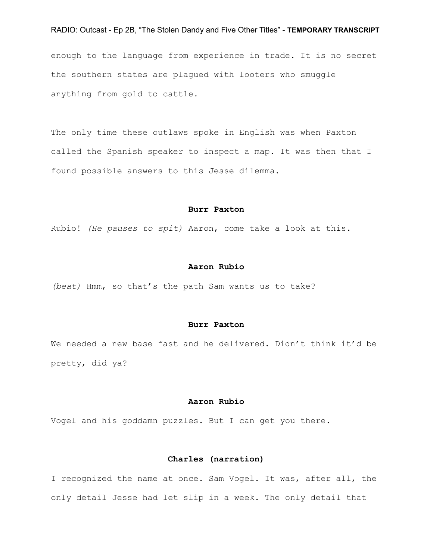enough to the language from experience in trade. It is no secret the southern states are plagued with looters who smuggle anything from gold to cattle.

The only time these outlaws spoke in English was when Paxton called the Spanish speaker to inspect a map. It was then that I found possible answers to this Jesse dilemma.

#### **Burr Paxton**

Rubio! *(He pauses to spit)* Aaron, come take a look at this.

#### **Aaron Rubio**

*(beat)* Hmm, so that's the path Sam wants us to take?

### **Burr Paxton**

We needed a new base fast and he delivered. Didn't think it'd be pretty, did ya?

## **Aaron Rubio**

Vogel and his goddamn puzzles. But I can get you there.

## **Charles (narration)**

I recognized the name at once. Sam Vogel. It was, after all, the only detail Jesse had let slip in a week. The only detail that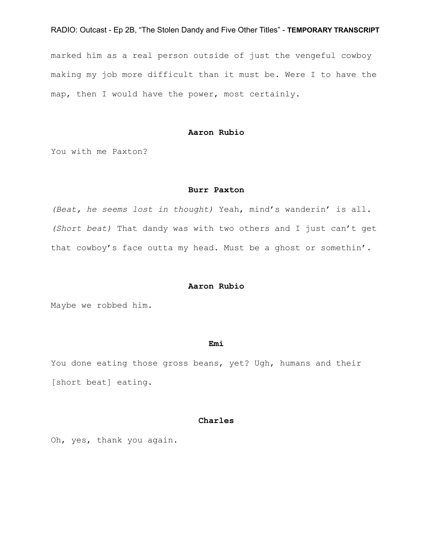marked him as a real person outside of just the vengeful cowboy making my job more difficult than it must be. Were I to have the map, then I would have the power, most certainly.

## **Aaron Rubio**

You with me Paxton?

#### **Burr Paxton**

*(Beat, he seems lost in thought)* Yeah, mind's wanderin' is all. *(Short beat)* That dandy was with two others and I just can't get that cowboy's face outta my head. Must be a ghost or somethin'.

#### **Aaron Rubio**

Maybe we robbed him.

#### **Emi**

You done eating those gross beans, yet? Ugh, humans and their [short beat] eating.

## **Charles**

Oh, yes, thank you again.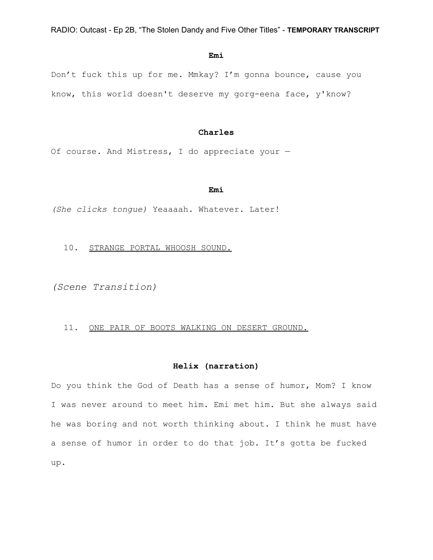#### **Emi**

Don't fuck this up for me. Mmkay? I'm gonna bounce, cause you know, this world doesn't deserve my gorg-eena face, y'know?

## **Charles**

Of course. And Mistress, I do appreciate your —

#### **Emi**

*(She clicks tongue)* Yeaaaah. Whatever. Later!

10. STRANGE PORTAL WHOOSH SOUND.

*(Scene Transition)*

11. ONE PAIR OF BOOTS WALKING ON DESERT GROUND.

## **Helix (narration)**

Do you think the God of Death has a sense of humor, Mom? I know I was never around to meet him. Emi met him. But she always said he was boring and not worth thinking about. I think he must have a sense of humor in order to do that job. It's gotta be fucked up.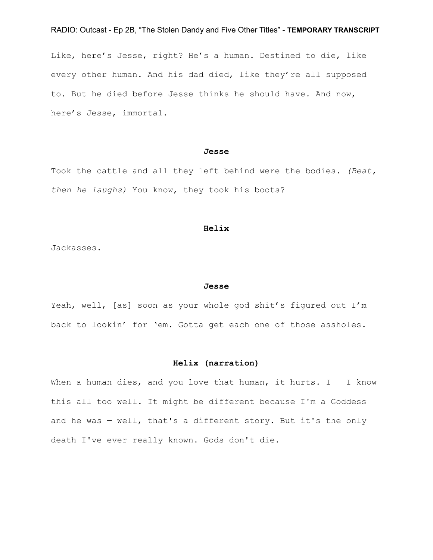Like, here's Jesse, right? He's a human. Destined to die, like every other human. And his dad died, like they're all supposed to. But he died before Jesse thinks he should have. And now, here's Jesse, immortal.

### **Jesse**

Took the cattle and all they left behind were the bodies. *(Beat, then he laughs)* You know, they took his boots?

#### **Helix**

Jackasses.

#### **Jesse**

Yeah, well, [as] soon as your whole god shit's figured out I'm back to lookin' for 'em. Gotta get each one of those assholes.

## **Helix (narration)**

When a human dies, and you love that human, it hurts.  $I - I$  know this all too well. It might be different because I'm a Goddess and he was — well, that's a different story. But it's the only death I've ever really known. Gods don't die.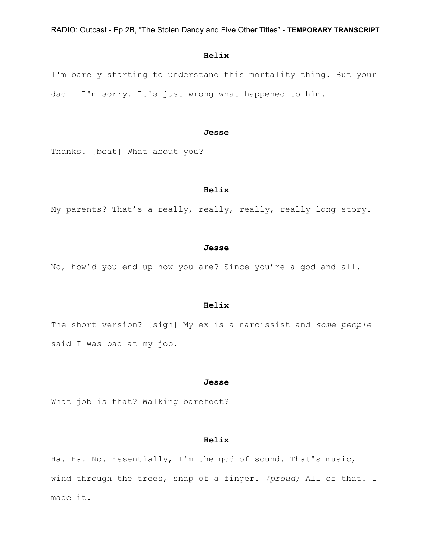## **Helix**

I'm barely starting to understand this mortality thing. But your  $dad - I'm$  sorry. It's just wrong what happened to him.

#### **Jesse**

Thanks. [beat] What about you?

### **Helix**

My parents? That's a really, really, really, really long story.

#### **Jesse**

No, how'd you end up how you are? Since you're a god and all.

## **Helix**

The short version? [sigh] My ex is a narcissist and *some people* said I was bad at my job.

#### **Jesse**

What job is that? Walking barefoot?

## **Helix**

Ha. Ha. No. Essentially, I'm the god of sound. That's music, wind through the trees, snap of a finger. *(proud)* All of that. I made it.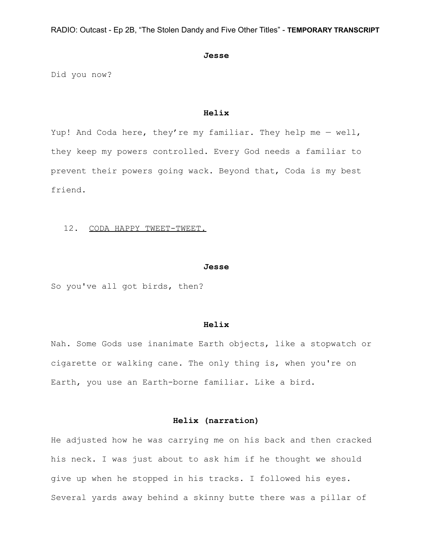#### **Jesse**

Did you now?

### **Helix**

Yup! And Coda here, they're my familiar. They help me — well, they keep my powers controlled. Every God needs a familiar to prevent their powers going wack. Beyond that, Coda is my best friend.

#### 12. CODA HAPPY TWEET-TWEET.

#### **Jesse**

So you've all got birds, then?

#### **Helix**

Nah. Some Gods use inanimate Earth objects, like a stopwatch or cigarette or walking cane. The only thing is, when you're on Earth, you use an Earth-borne familiar. Like a bird.

## **Helix (narration)**

He adjusted how he was carrying me on his back and then cracked his neck. I was just about to ask him if he thought we should give up when he stopped in his tracks. I followed his eyes. Several yards away behind a skinny butte there was a pillar of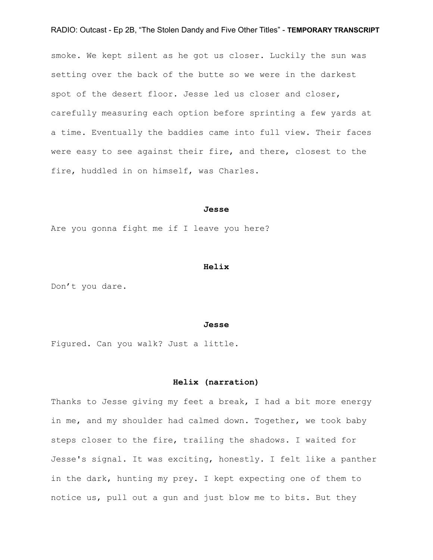smoke. We kept silent as he got us closer. Luckily the sun was setting over the back of the butte so we were in the darkest spot of the desert floor. Jesse led us closer and closer, carefully measuring each option before sprinting a few yards at a time. Eventually the baddies came into full view. Their faces were easy to see against their fire, and there, closest to the fire, huddled in on himself, was Charles.

#### **Jesse**

Are you gonna fight me if I leave you here?

#### **Helix**

Don't you dare.

#### **Jesse**

Figured. Can you walk? Just a little.

#### **Helix (narration)**

Thanks to Jesse giving my feet a break, I had a bit more energy in me, and my shoulder had calmed down. Together, we took baby steps closer to the fire, trailing the shadows. I waited for Jesse's signal. It was exciting, honestly. I felt like a panther in the dark, hunting my prey. I kept expecting one of them to notice us, pull out a gun and just blow me to bits. But they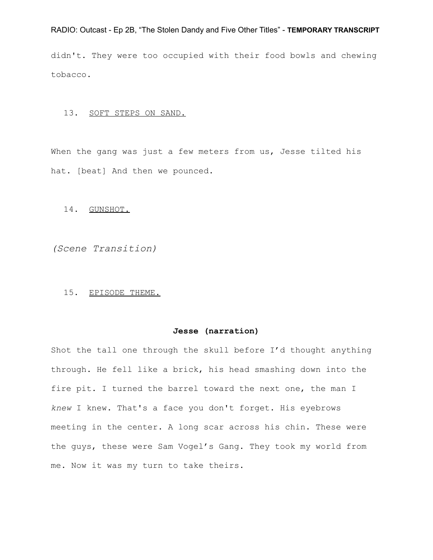didn't. They were too occupied with their food bowls and chewing tobacco.

## 13. SOFT STEPS ON SAND.

When the gang was just a few meters from us, Jesse tilted his hat. [beat] And then we pounced.

### 14. GUNSHOT.

*(Scene Transition)*

## 15. EPISODE THEME.

## **Jesse (narration)**

Shot the tall one through the skull before I'd thought anything through. He fell like a brick, his head smashing down into the fire pit. I turned the barrel toward the next one, the man I *knew* I knew. That's a face you don't forget. His eyebrows meeting in the center. A long scar across his chin. These were the guys, these were Sam Vogel's Gang. They took my world from me. Now it was my turn to take theirs.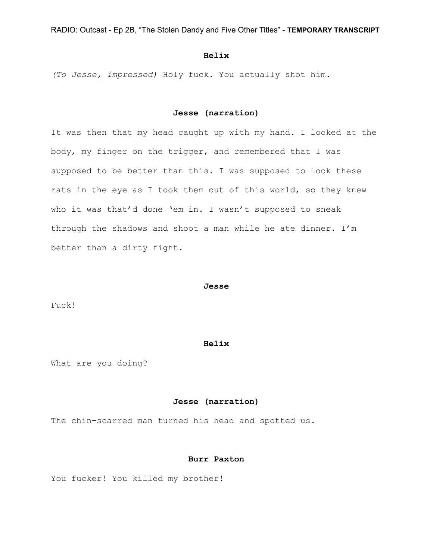## **Helix**

*(To Jesse, impressed)* Holy fuck. You actually shot him.

## **Jesse (narration)**

It was then that my head caught up with my hand. I looked at the body, my finger on the trigger, and remembered that I was supposed to be better than this. I was supposed to look these rats in the eye as I took them out of this world, so they knew who it was that'd done 'em in. I wasn't supposed to sneak through the shadows and shoot a man while he ate dinner. I'm better than a dirty fight.

#### **Jesse**

Fuck!

#### **Helix**

What are you doing?

## **Jesse (narration)**

The chin-scarred man turned his head and spotted us.

## **Burr Paxton**

You fucker! You killed my brother!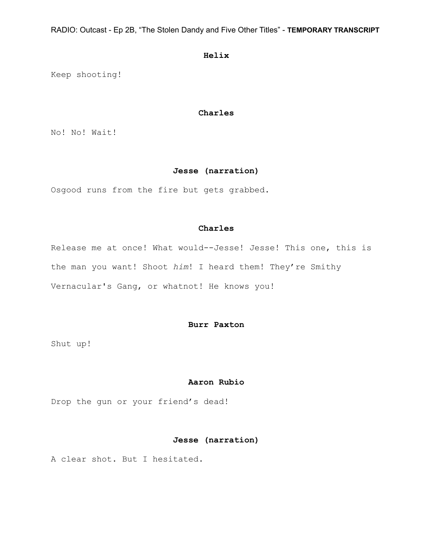**Helix**

Keep shooting!

## **Charles**

No! No! Wait!

## **Jesse (narration)**

Osgood runs from the fire but gets grabbed.

## **Charles**

Release me at once! What would--Jesse! Jesse! This one, this is the man you want! Shoot *him*! I heard them! They're Smithy Vernacular's Gang, or whatnot! He knows you!

## **Burr Paxton**

Shut up!

#### **Aaron Rubio**

Drop the gun or your friend's dead!

## **Jesse (narration)**

A clear shot. But I hesitated.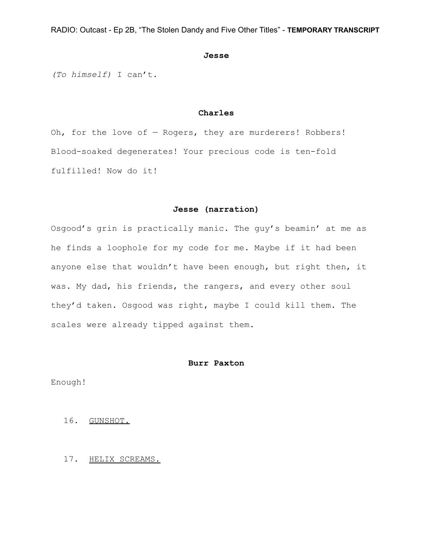#### **Jesse**

*(To himself)* I can't.

## **Charles**

Oh, for the love of  $-$  Rogers, they are murderers! Robbers! Blood-soaked degenerates! Your precious code is ten-fold fulfilled! Now do it!

### **Jesse (narration)**

Osgood's grin is practically manic. The guy's beamin' at me as he finds a loophole for my code for me. Maybe if it had been anyone else that wouldn't have been enough, but right then, it was. My dad, his friends, the rangers, and every other soul they'd taken. Osgood was right, maybe I could kill them. The scales were already tipped against them.

#### **Burr Paxton**

Enough!

- 16. GUNSHOT.
- 17. HELIX SCREAMS.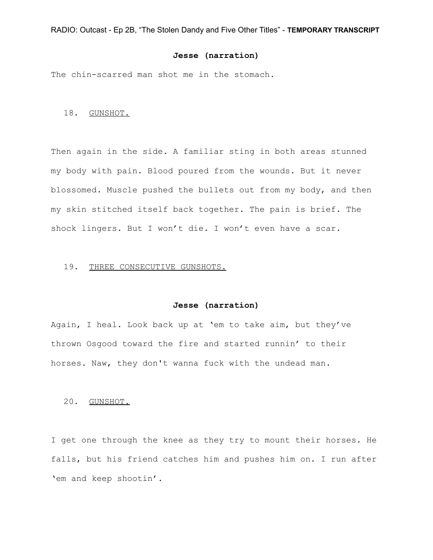## **Jesse (narration)**

The chin-scarred man shot me in the stomach.

## 18. GUNSHOT.

Then again in the side. A familiar sting in both areas stunned my body with pain. Blood poured from the wounds. But it never blossomed. Muscle pushed the bullets out from my body, and then my skin stitched itself back together. The pain is brief. The shock lingers. But I won't die. I won't even have a scar.

#### 19. THREE CONSECUTIVE GUNSHOTS.

#### **Jesse (narration)**

Again, I heal. Look back up at 'em to take aim, but they've thrown Osgood toward the fire and started runnin' to their horses. Naw, they don't wanna fuck with the undead man.

## 20. GUNSHOT.

I get one through the knee as they try to mount their horses. He falls, but his friend catches him and pushes him on. I run after 'em and keep shootin'.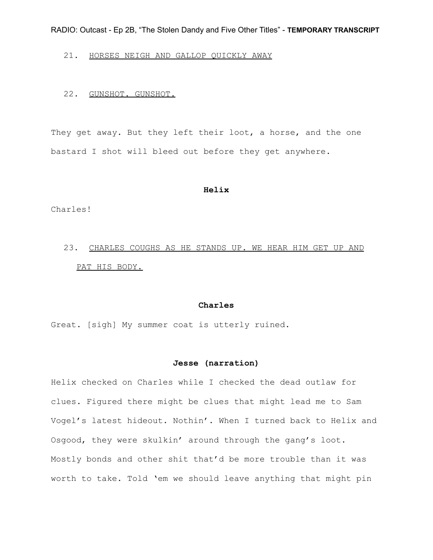## 21. HORSES NEIGH AND GALLOP QUICKLY AWAY

## 22. GUNSHOT. GUNSHOT.

They get away. But they left their loot, a horse, and the one bastard I shot will bleed out before they get anywhere.

#### **Helix**

Charles!

# 23. CHARLES COUGHS AS HE STANDS UP. WE HEAR HIM GET UP AND PAT HIS BODY.

### **Charles**

Great. [sigh] My summer coat is utterly ruined.

## **Jesse (narration)**

Helix checked on Charles while I checked the dead outlaw for clues. Figured there might be clues that might lead me to Sam Vogel's latest hideout. Nothin'. When I turned back to Helix and Osgood, they were skulkin' around through the gang's loot. Mostly bonds and other shit that'd be more trouble than it was worth to take. Told 'em we should leave anything that might pin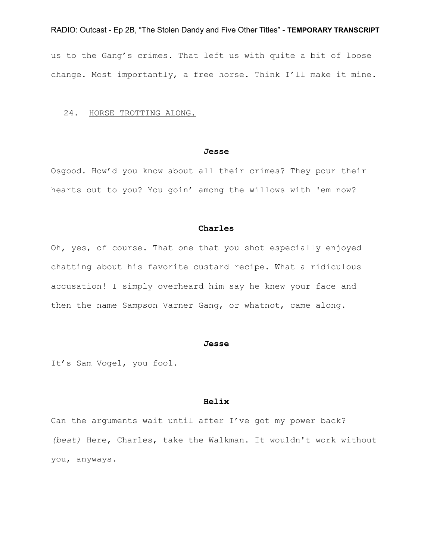us to the Gang's crimes. That left us with quite a bit of loose change. Most importantly, a free horse. Think I'll make it mine.

## 24. HORSE TROTTING ALONG.

#### **Jesse**

Osgood. How'd you know about all their crimes? They pour their hearts out to you? You goin' among the willows with 'em now?

#### **Charles**

Oh, yes, of course. That one that you shot especially enjoyed chatting about his favorite custard recipe. What a ridiculous accusation! I simply overheard him say he knew your face and then the name Sampson Varner Gang, or whatnot, came along.

#### **Jesse**

It's Sam Vogel, you fool.

## **Helix**

Can the arguments wait until after I've got my power back? *(beat)* Here, Charles, take the Walkman. It wouldn't work without you, anyways.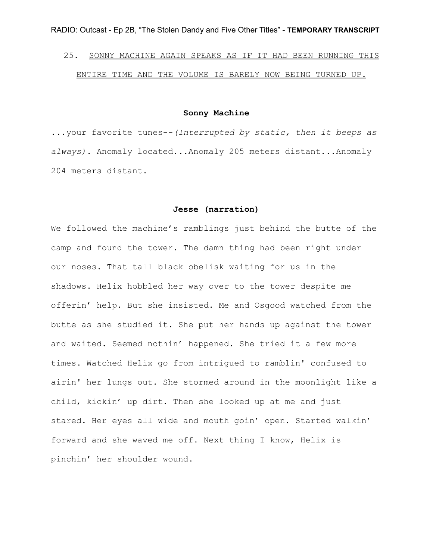# 25. SONNY MACHINE AGAIN SPEAKS AS IF IT HAD BEEN RUNNING THIS ENTIRE TIME AND THE VOLUME IS BARELY NOW BEING TURNED UP.

## **Sonny Machine**

...your favorite tunes--*(Interrupted by static, then it beeps as always).* Anomaly located...Anomaly 205 meters distant...Anomaly 204 meters distant.

#### **Jesse (narration)**

We followed the machine's ramblings just behind the butte of the camp and found the tower. The damn thing had been right under our noses. That tall black obelisk waiting for us in the shadows. Helix hobbled her way over to the tower despite me offerin' help. But she insisted. Me and Osgood watched from the butte as she studied it. She put her hands up against the tower and waited. Seemed nothin' happened. She tried it a few more times. Watched Helix go from intrigued to ramblin' confused to airin' her lungs out. She stormed around in the moonlight like a child, kickin' up dirt. Then she looked up at me and just stared. Her eyes all wide and mouth goin' open. Started walkin' forward and she waved me off. Next thing I know, Helix is pinchin' her shoulder wound.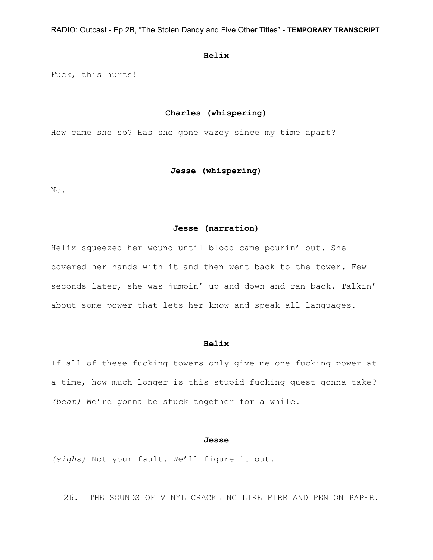## **Helix**

Fuck, this hurts!

## **Charles (whispering)**

How came she so? Has she gone vazey since my time apart?

## **Jesse (whispering)**

No.

## **Jesse (narration)**

Helix squeezed her wound until blood came pourin' out. She covered her hands with it and then went back to the tower. Few seconds later, she was jumpin' up and down and ran back. Talkin' about some power that lets her know and speak all languages.

#### **Helix**

If all of these fucking towers only give me one fucking power at a time, how much longer is this stupid fucking quest gonna take? *(beat)* We're gonna be stuck together for a while.

## **Jesse**

*(sighs)* Not your fault. We'll figure it out.

## 26. THE SOUNDS OF VINYL CRACKLING LIKE FIRE AND PEN ON PAPER.